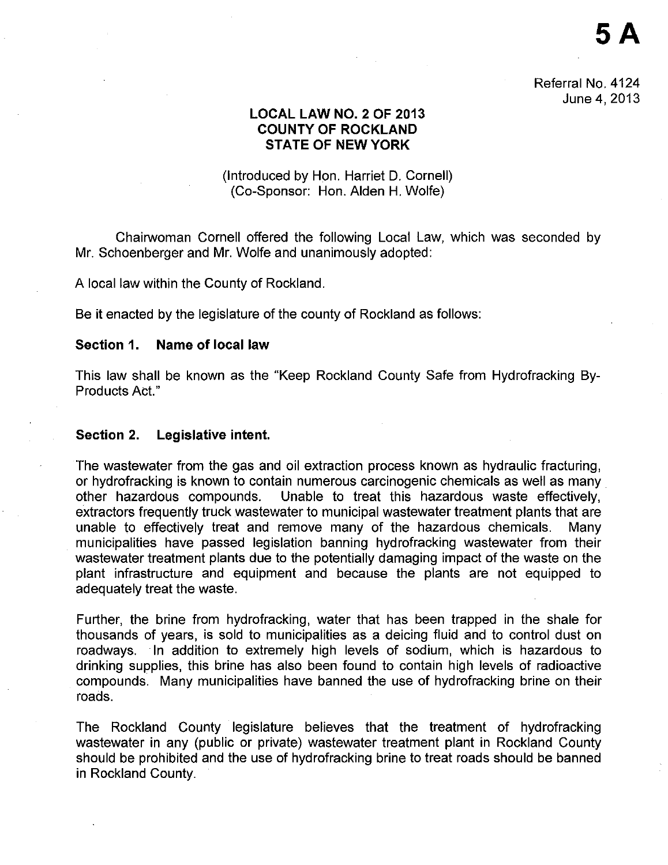Referral No. 4124 June 4, 2013

**SA** 

# **LOCAL LAW NO.2 OF 2013 COUNTY OF ROCKLAND STATE OF NEW YORK**

# (Introduced by Han. Harriet D. Cornell) (Co-Sponsor: Han. Alden H. Wolfe)

Chairwoman Cornell offered the following Local Law, which was seconded by Mr. Schoenberger and Mr. Wolfe and unanimously adopted:

A local law within the County of Rockland.

Be it enacted by the legislature of the county of Rockland as follows:

## **Section 1. Name of local law**

This law shall be known as the "Keep Rockland County Safe from Hydrofracking By-Products Act."

#### **Section 2. Legislative intent.**

The wastewater from the gas and oil extraction process known as hydraulic fracturing, or hydrofracking is known to contain numerous carcinogenic chemicals as well as many other hazardous compounds. Unable to treat this hazardous waste effectively. Unable to treat this hazardous waste effectively, extractors frequently truck wastewater to municipal wastewater treatment plants that are unable to effectively treat and remove many of the hazardous chemicals. Many municipalities have passed legislation banning hydrofracking wastewater from their wastewater treatment plants due to the potentially damaging impact of the waste on the plant infrastructure and equipment and because the plants are not equipped to adequately treat the waste.

Further, the brine from hydrofracking, water that has been trapped in the shale for thousands of years, is sold to municipalities as a deicing fluid and to control dust on roadways. In addition to extremely high levels of sodium, which is hazardous to drinking supplies, this brine has also been found to contain high levels of radioactive compounds. Many municipalities have banned the use of hydrofracking brine on their roads.

The Rockland County legislature believes that the treatment of hydrofracking wastewater in any (public or private) wastewater treatment plant in Rockland County should be prohibited and the use of hydrofracking brine to treat roads should be banned in Rockland County.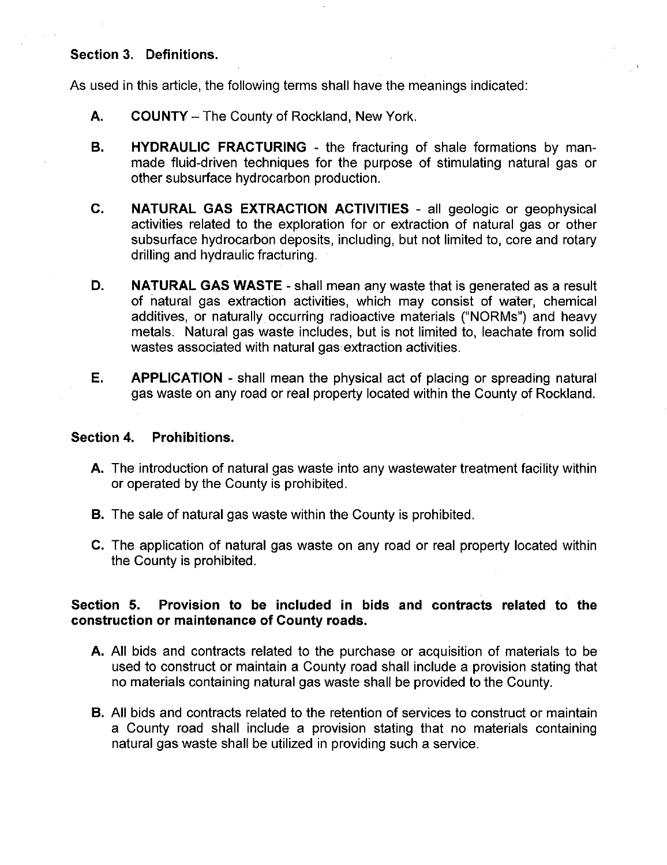# **Section 3. Definitions.**

As used in this article, the following terms shall have the meanings indicated:

- **A. COUNTY-** The County of Rockland, New York.
- **B. HYDRAULIC FRACTURING**  the fracturing of shale formations by manmade fluid-driven techniques for the purpose of stimulating natural gas or other subsurface hydrocarbon production.
- **C. NATURAL GAS EXTRACTION ACTIVITIES**  all geologic or geophysical activities related to the exploration for or extraction of natural gas or other subsurface hydrocarbon deposits, including, but not limited to, core and rotary drilling and hydraulic fracturing.
- **D. NATURAL GAS WASTE-** shall mean any waste that is generated as a result of natural gas extraction activities, which may consist of water, chemical additives, or naturally occurring radioactive materials ("NORMs") and heavy metals. Natural gas waste includes, but is not limited to, leachate from solid wastes associated with natural gas extraction activities.
- **E.** APPLICATION shall mean the physical act of placing or spreading natural gas waste on any road or real property located within the County of Rockland.

## **Section 4. Prohibitions.**

- **A.** The introduction of natural gas waste into any wastewater treatment facility within or operated by the County is prohibited.
- **B.** The sale of natural gas waste within the County is prohibited.
- **C.** The application of natural gas waste on any road or real property located within the County is prohibited.

# **Section 5. Provision to be included in bids and contracts related to the construction or maintenance of County roads.**

- **A.** All bids and contracts related to the purchase or acquisition of materials to be used to construct or maintain a County road shall include a provision stating that no materials containing natural gas waste shall be provided to the County.
- **B.** All bids and contracts related to the retention of services to construct or maintain a County road shall include a provision stating that no materials containing natural gas waste shall be utilized in providing such a service.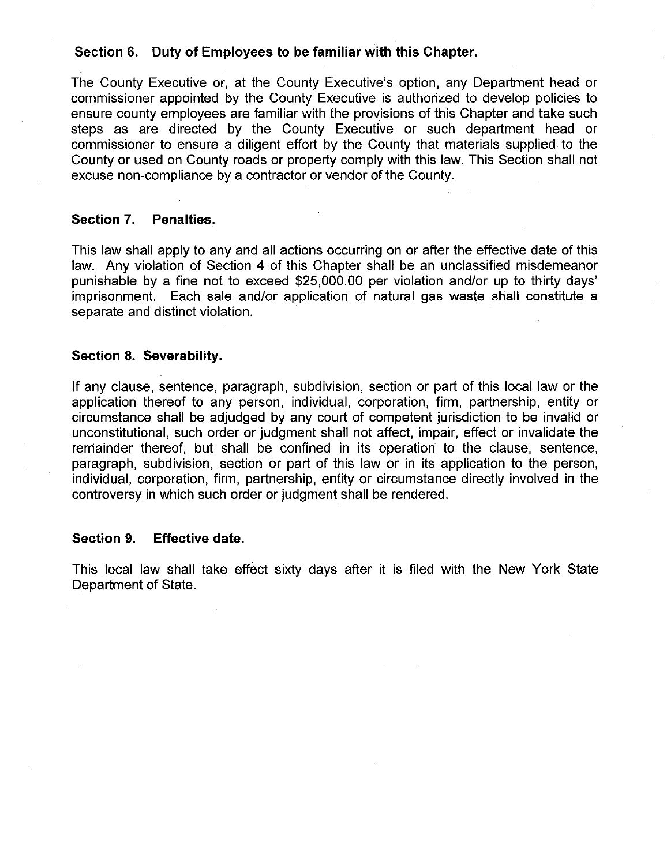## **Section 6. Duty of Employees to be familiar with this Chapter.**

The County Executive or, at the County Executive's option, any Department head or commissioner appointed by the County Executive is authorized to develop policies to ensure county employees are familiar with the provisions of this Chapter and take such steps as are directed by the County Executive or such department head or commissioner to ensure a diligent effort by the County that materials supplied. to the County or used on County roads or property comply with this law. This Section shall not excuse non-compliance by a contractor or vendor of the County.

# **Section 7. Penalties.**

This law shall apply to any and all actions occurring on or after the effective date of this law. Any violation of Section 4 of this Chapter shall be an unclassified misdemeanor punishable by a fine not to exceed \$25,000.00 per violation and/or up to thirty days' imprisonment. Each sale and/or application of natural gas waste shall constitute a separate and distinct violation.

### **Section 8. Severability.**

If any clause, sentence, paragraph, subdivision, section or part of this local law or the application thereof to any person, individual, corporation, firm, partnership, entity or circumstance shall be adjudged by any court of competent jurisdiction to be invalid or unconstitutional, such order or judgment shall not affect, impair, effect or invalidate the remainder thereof, but shall be confined in its operation to the clause, sentence, paragraph, subdivision, section or part of this law or in its application to the person, individual, corporation, firm, partnership, entity or circumstance directly involved in the controversy in which such order or judgment shall be rendered.

#### **Section 9. Effective date.**

This local law shall take effect sixty days after it is filed with the New York State Department of State.